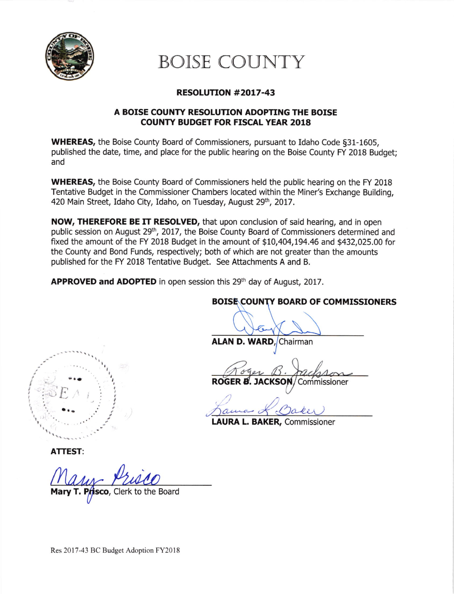

# BOISE COUNTY

## RESOLUTION #2OL7-43

### A BOISE COUNTY RESOLUTION ADOPTING THE BOISE COUNTY BUDGET FOR FISCAL YEAR 2018

WHEREAS, the Boise County Board of Commissioners, pursuant to Idaho Code §31-1605, published the date, time, and place for the public hearing on the Boise County FY 2018 Budget; and

WHEREAS, the Boise County Board of Commissioners held the public hearing on the FY 2018 Tentative Budget in the Commissioner Chambers located within the Miner's Exchange Building, 420 Main Street, Idaho City, Idaho, on Tuesday, August 29th, 2017.

NOW, THEREFORE BE IT RESOLVED, that upon conclusion of said hearing, and in open public session on August 29<sup>th</sup>, 2017, the Boise County Board of Commissioners determined and fixed the amount of the FY 2018 Budget in the amount of \$10,404,194.46 and \$432,025.00 for the County and Bond Funds, respectively; both of which are not greater than the amounts published for the FY 2018 Tentative Budget. See Attachments A and B.

APPROVED and ADOPTED in open session this 29<sup>th</sup> day of August, 2017.

## **BOISE COUNTY BOARD OF COMMISSIONERS**

ALAN D. WARD, Chairman

Roger B. Jackson ROGER **B. JACKSON**/Commissioner

1  $0 - \ell$  $a_{\text{true}}$ 

LAURA L. BAKER, Commissioner

 $E \wedge \cdots$ I  $\ddot{\phantom{a}}$ I

ATTEST:

T. Prisco, Clerk to the Board